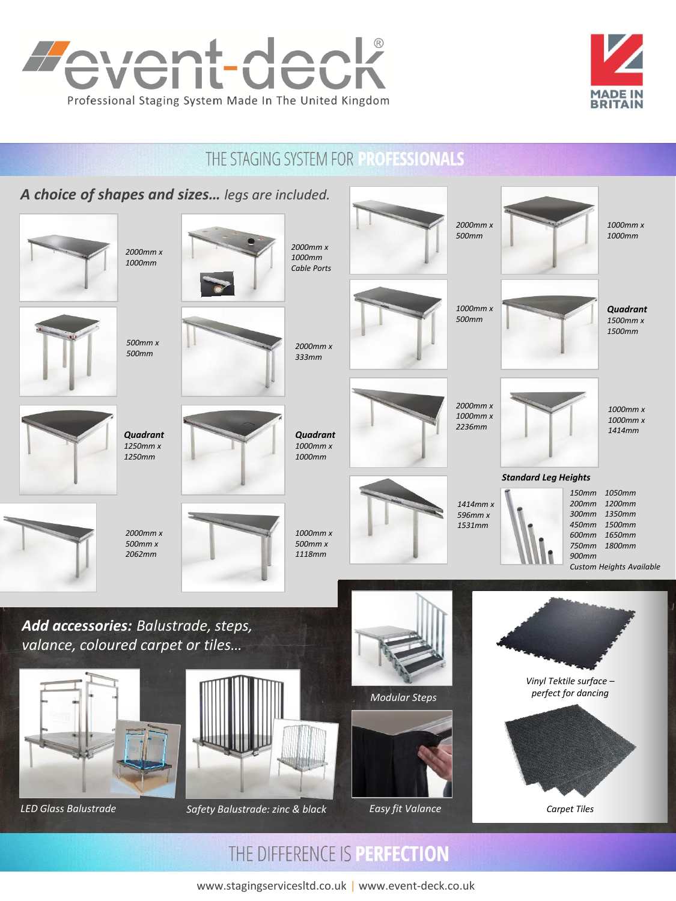



# THE STAGING SYSTEM FOR PROFESSIONALS



www.stagingservicesltd.co.uk | www.event-deck.co.uk